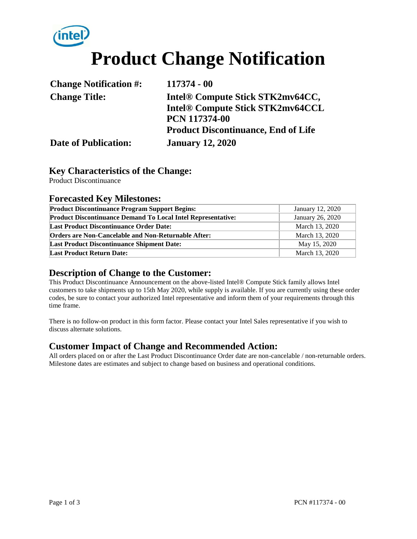

| <b>Change Notification #:</b> | 117374 - 00                                  |
|-------------------------------|----------------------------------------------|
| <b>Change Title:</b>          | Intel <sup>®</sup> Compute Stick STK2mv64CC, |
|                               | <b>Intel® Compute Stick STK2mv64CCL</b>      |
|                               | <b>PCN 117374-00</b>                         |
|                               | <b>Product Discontinuance, End of Life</b>   |
| <b>Date of Publication:</b>   | <b>January 12, 2020</b>                      |

#### **Key Characteristics of the Change:**

Product Discontinuance

#### **Forecasted Key Milestones:**

| <b>Product Discontinuance Program Support Begins:</b>               | January 12, 2020 |  |
|---------------------------------------------------------------------|------------------|--|
| <b>Product Discontinuance Demand To Local Intel Representative:</b> | January 26, 2020 |  |
| <b>Last Product Discontinuance Order Date:</b>                      | March 13, 2020   |  |
| <b>Orders are Non-Cancelable and Non-Returnable After:</b>          | March 13, 2020   |  |
| <b>Last Product Discontinuance Shipment Date:</b>                   | May 15, 2020     |  |
| <b>Last Product Return Date:</b>                                    | March 13, 2020   |  |

### **Description of Change to the Customer:**

This Product Discontinuance Announcement on the above-listed Intel® Compute Stick family allows Intel customers to take shipments up to 15th May 2020, while supply is available. If you are currently using these order codes, be sure to contact your authorized Intel representative and inform them of your requirements through this time frame.

There is no follow-on product in this form factor. Please contact your Intel Sales representative if you wish to discuss alternate solutions.

#### **Customer Impact of Change and Recommended Action:**

All orders placed on or after the Last Product Discontinuance Order date are non-cancelable / non-returnable orders. Milestone dates are estimates and subject to change based on business and operational conditions.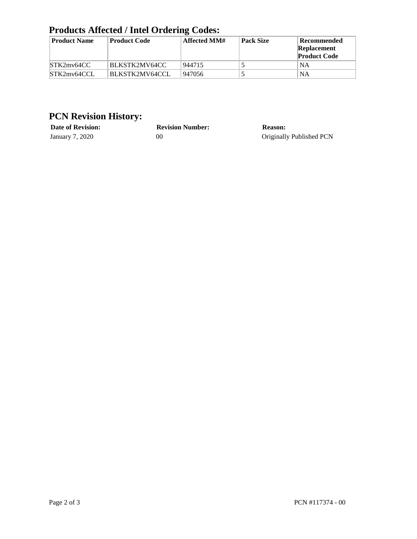## **Products Affected / Intel Ordering Codes:**

| <b>Product Name</b> | <b>Product Code</b> | Affected MM# | <b>Pack Size</b> | Recommended<br>Replacement<br><b>Product Code</b> |
|---------------------|---------------------|--------------|------------------|---------------------------------------------------|
| STK2mv64CC          | BLKSTK2MV64CC       | 944715       |                  | NA                                                |
| STK2mv64CCL         | BLKSTK2MV64CCL      | 947056       |                  | NA                                                |

## **PCN Revision History:**

| <b>Date of Revision:</b> | <b>Revision Number:</b> | <b>Reason:</b>           |
|--------------------------|-------------------------|--------------------------|
| January 7, 2020          | OC                      | Originally Published PCN |